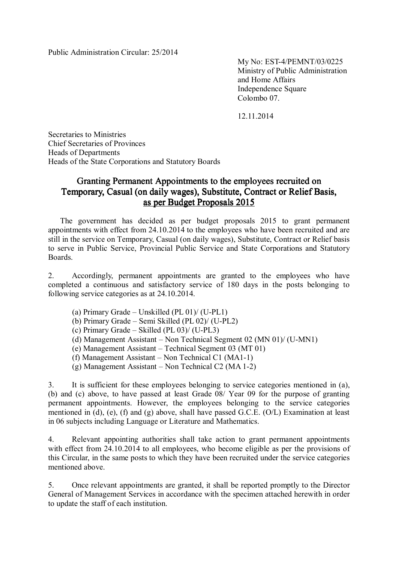My No: EST-4/PEMNT/03/0225 Ministry of Public Administration and Home Affairs Independence Square Colombo 07.

12.11.2014

Secretaries to Ministries Chief Secretaries of Provinces Heads of Departments Heads of the State Corporations and Statutory Boards

## Granting Permanent Appointments to the employees recruited on Temporary, Casual (on daily wages), Substitute, Contract or Relief Basis, as per Budget Proposals 2015

The government has decided as per budget proposals 2015 to grant permanent appointments with effect from 24.10.2014 to the employees who have been recruited and are still in the service on Temporary, Casual (on daily wages), Substitute, Contract or Relief basis to serve in Public Service, Provincial Public Service and State Corporations and Statutory Boards.

2. Accordingly, permanent appointments are granted to the employees who have completed a continuous and satisfactory service of 180 days in the posts belonging to following service categories as at 24.10.2014.

- (a) Primary Grade Unskilled (PL 01)/ (U-PL1)
- (b) Primary Grade Semi Skilled (PL 02)/ (U-PL2)
- (c) Primary Grade Skilled (PL 03)/ (U-PL3)
- (d) Management Assistant Non Technical Segment 02 (MN 01)/ (U-MN1)
- (e) Management Assistant Technical Segment 03 (MT 01)
- (f) Management Assistant Non Technical C1 (MA1-1)
- (g) Management Assistant Non Technical C2 (MA 1-2)

3. It is sufficient for these employees belonging to service categories mentioned in (a), (b) and (c) above, to have passed at least Grade 08/ Year 09 for the purpose of granting permanent appointments. However, the employees belonging to the service categories mentioned in (d), (e), (f) and (g) above, shall have passed G.C.E. (O/L) Examination at least in 06 subjects including Language or Literature and Mathematics.

4. Relevant appointing authorities shall take action to grant permanent appointments with effect from 24.10.2014 to all employees, who become eligible as per the provisions of this Circular, in the same posts to which they have been recruited under the service categories mentioned above.

5. Once relevant appointments are granted, it shall be reported promptly to the Director General of Management Services in accordance with the specimen attached herewith in order to update the staff of each institution.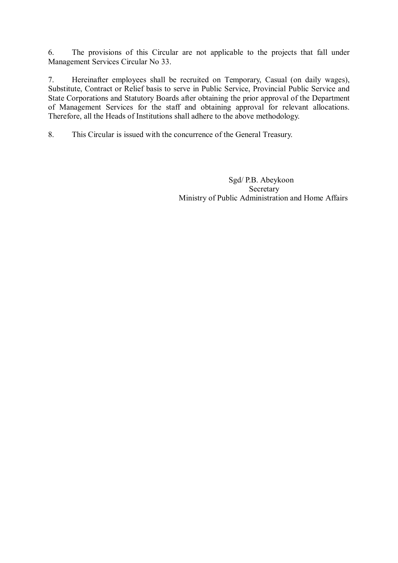6. The provisions of this Circular are not applicable to the projects that fall under Management Services Circular No 33.

7. Hereinafter employees shall be recruited on Temporary, Casual (on daily wages), Substitute, Contract or Relief basis to serve in Public Service, Provincial Public Service and State Corporations and Statutory Boards after obtaining the prior approval of the Department of Management Services for the staff and obtaining approval for relevant allocations. Therefore, all the Heads of Institutions shall adhere to the above methodology.

8. This Circular is issued with the concurrence of the General Treasury.

 Sgd/ P.B. Abeykoon **Secretary** Ministry of Public Administration and Home Affairs